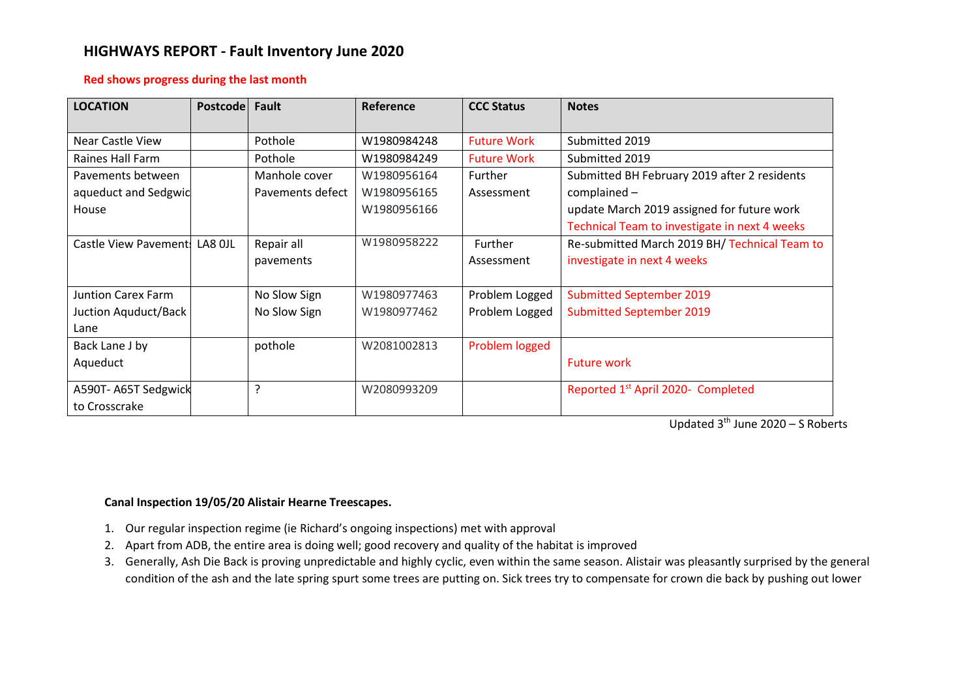# **HIGHWAYS REPORT - Fault Inventory June 2020**

### **Red shows progress during the last month**

| <b>LOCATION</b>               | <b>Postcode</b> | <b>Fault</b>     | Reference   | <b>CCC Status</b>  | <b>Notes</b>                                   |
|-------------------------------|-----------------|------------------|-------------|--------------------|------------------------------------------------|
| Near Castle View              |                 | Pothole          | W1980984248 | <b>Future Work</b> | Submitted 2019                                 |
| Raines Hall Farm              |                 | Pothole          | W1980984249 | <b>Future Work</b> | Submitted 2019                                 |
| Pavements between             |                 | Manhole cover    | W1980956164 | Further            | Submitted BH February 2019 after 2 residents   |
| aqueduct and Sedgwid          |                 | Pavements defect | W1980956165 | Assessment         | complained -                                   |
| House                         |                 |                  | W1980956166 |                    | update March 2019 assigned for future work     |
|                               |                 |                  |             |                    | Technical Team to investigate in next 4 weeks  |
| Castle View Pavement: LA8 OJL |                 | Repair all       | W1980958222 | Further            | Re-submitted March 2019 BH/ Technical Team to  |
|                               |                 | pavements        |             | Assessment         | investigate in next 4 weeks                    |
|                               |                 |                  |             |                    |                                                |
| <b>Juntion Carex Farm</b>     |                 | No Slow Sign     | W1980977463 | Problem Logged     | <b>Submitted September 2019</b>                |
| Juction Aquduct/Back          |                 | No Slow Sign     | W1980977462 | Problem Logged     | <b>Submitted September 2019</b>                |
| Lane                          |                 |                  |             |                    |                                                |
| Back Lane J by                |                 | pothole          | W2081002813 | Problem logged     |                                                |
| Aqueduct                      |                 |                  |             |                    | <b>Future work</b>                             |
| A590T-A65T Sedgwick           |                 | ?                | W2080993209 |                    | Reported 1 <sup>st</sup> April 2020- Completed |
| to Crosscrake                 |                 |                  |             |                    |                                                |

Updated 3<sup>th</sup> June 2020 - S Roberts

## **Canal Inspection 19/05/20 Alistair Hearne Treescapes.**

- 1. Our regular inspection regime (ie Richard's ongoing inspections) met with approval
- 2. Apart from ADB, the entire area is doing well; good recovery and quality of the habitat is improved
- 3. Generally, Ash Die Back is proving unpredictable and highly cyclic, even within the same season. Alistair was pleasantly surprised by the general condition of the ash and the late spring spurt some trees are putting on. Sick trees try to compensate for crown die back by pushing out lower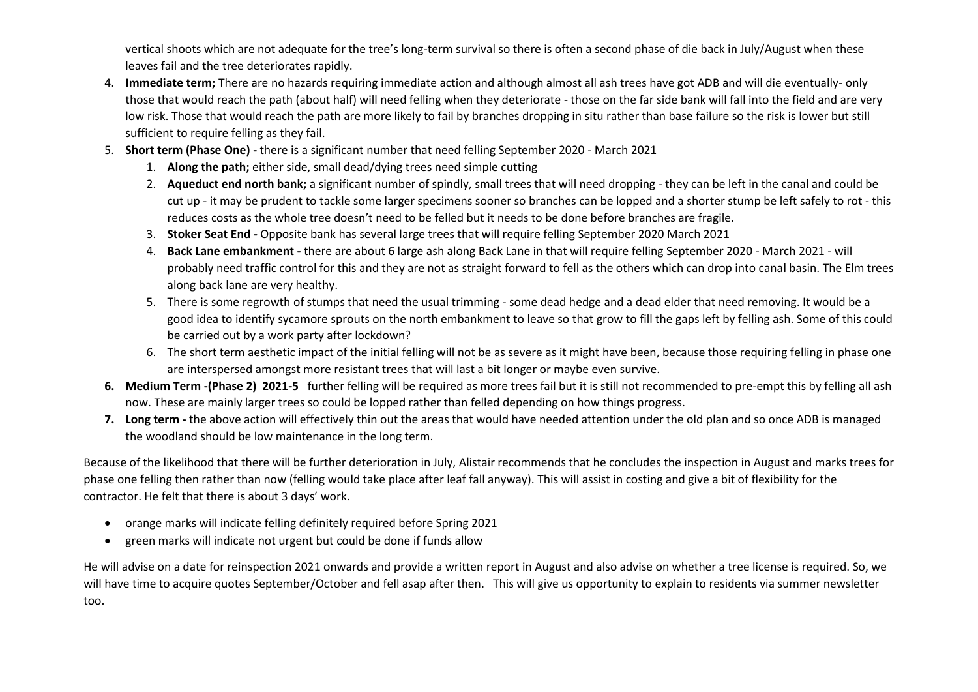vertical shoots which are not adequate for the tree's long-term survival so there is often a second phase of die back in July/August when these leaves fail and the tree deteriorates rapidly.

- 4. **Immediate term;** There are no hazards requiring immediate action and although almost all ash trees have got ADB and will die eventually- only those that would reach the path (about half) will need felling when they deteriorate - those on the far side bank will fall into the field and are very low risk. Those that would reach the path are more likely to fail by branches dropping in situ rather than base failure so the risk is lower but still sufficient to require felling as they fail.
- 5. **Short term (Phase One) -** there is a significant number that need felling September 2020 March 2021
	- 1. **Along the path;** either side, small dead/dying trees need simple cutting
	- 2. **Aqueduct end north bank;** a significant number of spindly, small trees that will need dropping they can be left in the canal and could be cut up - it may be prudent to tackle some larger specimens sooner so branches can be lopped and a shorter stump be left safely to rot - this reduces costs as the whole tree doesn't need to be felled but it needs to be done before branches are fragile.
	- 3. **Stoker Seat End -** Opposite bank has several large trees that will require felling September 2020 March 2021
	- 4. **Back Lane embankment -** there are about 6 large ash along Back Lane in that will require felling September 2020 March 2021 will probably need traffic control for this and they are not as straight forward to fell as the others which can drop into canal basin. The Elm trees along back lane are very healthy.
	- 5. There is some regrowth of stumps that need the usual trimming some dead hedge and a dead elder that need removing. It would be a good idea to identify sycamore sprouts on the north embankment to leave so that grow to fill the gaps left by felling ash. Some of this could be carried out by a work party after lockdown?
	- 6. The short term aesthetic impact of the initial felling will not be as severe as it might have been, because those requiring felling in phase one are interspersed amongst more resistant trees that will last a bit longer or maybe even survive.
- **6. Medium Term -(Phase 2) 2021-5** further felling will be required as more trees fail but it is still not recommended to pre-empt this by felling all ash now. These are mainly larger trees so could be lopped rather than felled depending on how things progress.
- **7. Long term -** the above action will effectively thin out the areas that would have needed attention under the old plan and so once ADB is managed the woodland should be low maintenance in the long term.

Because of the likelihood that there will be further deterioration in July, Alistair recommends that he concludes the inspection in August and marks trees for phase one felling then rather than now (felling would take place after leaf fall anyway). This will assist in costing and give a bit of flexibility for the contractor. He felt that there is about 3 days' work.

- orange marks will indicate felling definitely required before Spring 2021
- green marks will indicate not urgent but could be done if funds allow

He will advise on a date for reinspection 2021 onwards and provide a written report in August and also advise on whether a tree license is required. So, we will have time to acquire quotes September/October and fell asap after then. This will give us opportunity to explain to residents via summer newsletter too.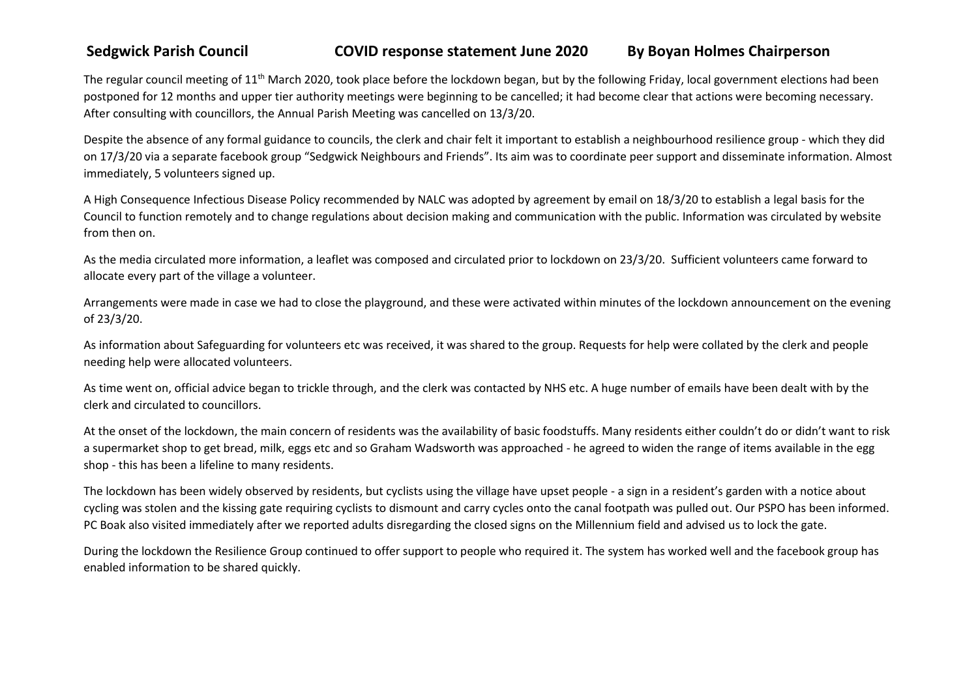# **Sedgwick Parish Council COVID response statement June 2020 By Boyan Holmes Chairperson**

The regular council meeting of 11<sup>th</sup> March 2020, took place before the lockdown began, but by the following Friday, local government elections had been postponed for 12 months and upper tier authority meetings were beginning to be cancelled; it had become clear that actions were becoming necessary. After consulting with councillors, the Annual Parish Meeting was cancelled on 13/3/20.

Despite the absence of any formal guidance to councils, the clerk and chair felt it important to establish a neighbourhood resilience group - which they did on 17/3/20 via a separate facebook group "Sedgwick Neighbours and Friends". Its aim was to coordinate peer support and disseminate information. Almost immediately, 5 volunteers signed up.

A High Consequence Infectious Disease Policy recommended by NALC was adopted by agreement by email on 18/3/20 to establish a legal basis for the Council to function remotely and to change regulations about decision making and communication with the public. Information was circulated by website from then on.

As the media circulated more information, a leaflet was composed and circulated prior to lockdown on 23/3/20. Sufficient volunteers came forward to allocate every part of the village a volunteer.

Arrangements were made in case we had to close the playground, and these were activated within minutes of the lockdown announcement on the evening of 23/3/20.

As information about Safeguarding for volunteers etc was received, it was shared to the group. Requests for help were collated by the clerk and people needing help were allocated volunteers.

As time went on, official advice began to trickle through, and the clerk was contacted by NHS etc. A huge number of emails have been dealt with by the clerk and circulated to councillors.

At the onset of the lockdown, the main concern of residents was the availability of basic foodstuffs. Many residents either couldn't do or didn't want to risk a supermarket shop to get bread, milk, eggs etc and so Graham Wadsworth was approached - he agreed to widen the range of items available in the egg shop - this has been a lifeline to many residents.

The lockdown has been widely observed by residents, but cyclists using the village have upset people - a sign in a resident's garden with a notice about cycling was stolen and the kissing gate requiring cyclists to dismount and carry cycles onto the canal footpath was pulled out. Our PSPO has been informed. PC Boak also visited immediately after we reported adults disregarding the closed signs on the Millennium field and advised us to lock the gate.

During the lockdown the Resilience Group continued to offer support to people who required it. The system has worked well and the facebook group has enabled information to be shared quickly.